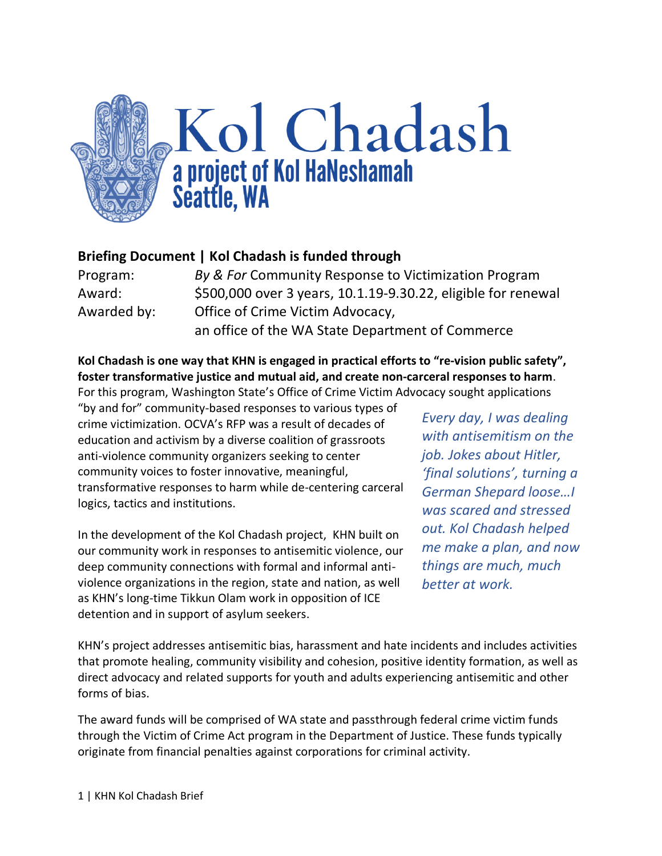

### **Briefing Document | Kol Chadash is funded through**

| Program:    | By & For Community Response to Victimization Program          |
|-------------|---------------------------------------------------------------|
| Award:      | \$500,000 over 3 years, 10.1.19-9.30.22, eligible for renewal |
| Awarded by: | Office of Crime Victim Advocacy,                              |
|             | an office of the WA State Department of Commerce              |

#### **Kol Chadash is one way that KHN is engaged in practical efforts to "re-vision public safety", foster transformative justice and mutual aid, and create non-carceral responses to harm**. For this program, Washington State's Office of Crime Victim Advocacy sought applications

"by and for" community-based responses to various types of crime victimization. OCVA's RFP was a result of decades of education and activism by a diverse coalition of grassroots anti-violence community organizers seeking to center community voices to foster innovative, meaningful, transformative responses to harm while de-centering carceral logics, tactics and institutions.

In the development of the Kol Chadash project, KHN built on our community work in responses to antisemitic violence, our deep community connections with formal and informal antiviolence organizations in the region, state and nation, as well as KHN's long-time Tikkun Olam work in opposition of ICE detention and in support of asylum seekers.

*Every day, I was dealing with antisemitism on the job. Jokes about Hitler, 'final solutions', turning a German Shepard loose…I was scared and stressed out. Kol Chadash helped me make a plan, and now things are much, much better at work.*

KHN's project addresses antisemitic bias, harassment and hate incidents and includes activities that promote healing, community visibility and cohesion, positive identity formation, as well as direct advocacy and related supports for youth and adults experiencing antisemitic and other forms of bias.

The award funds will be comprised of WA state and passthrough federal crime victim funds through the Victim of Crime Act program in the Department of Justice. These funds typically originate from financial penalties against corporations for criminal activity.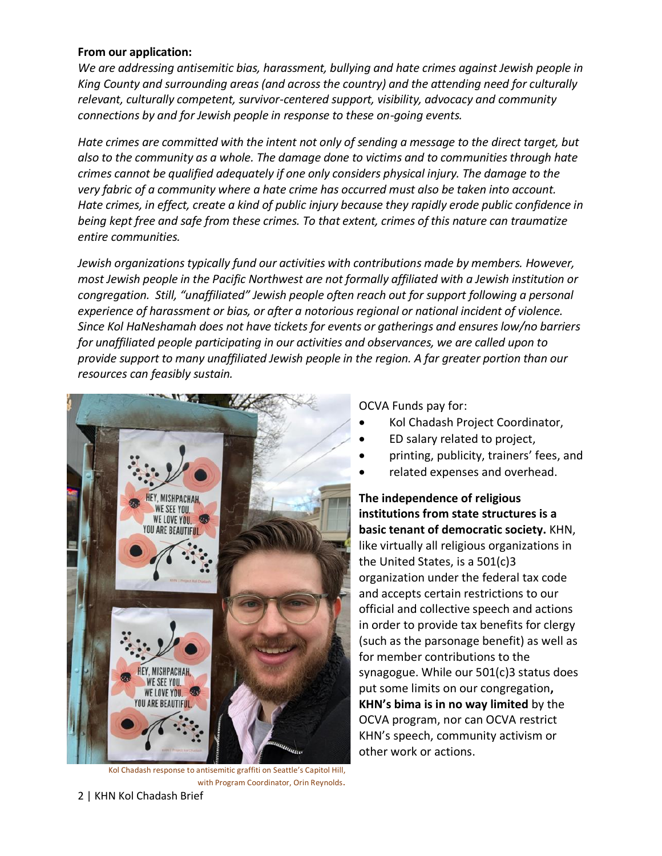#### **From our application:**

*We are addressing antisemitic bias, harassment, bullying and hate crimes against Jewish people in King County and surrounding areas (and across the country) and the attending need for culturally relevant, culturally competent, survivor-centered support, visibility, advocacy and community connections by and for Jewish people in response to these on-going events.* 

*Hate crimes are committed with the intent not only of sending a message to the direct target, but also to the community as a whole. The damage done to victims and to communities through hate crimes cannot be qualified adequately if one only considers physical injury. The damage to the very fabric of a community where a hate crime has occurred must also be taken into account. Hate crimes, in effect, create a kind of public injury because they rapidly erode public confidence in being kept free and safe from these crimes. To that extent, crimes of this nature can traumatize entire communities.*

*Jewish organizations typically fund our activities with contributions made by members. However, most Jewish people in the Pacific Northwest are not formally affiliated with a Jewish institution or congregation. Still, "unaffiliated" Jewish people often reach out for support following a personal experience of harassment or bias, or after a notorious regional or national incident of violence. Since Kol HaNeshamah does not have tickets for events or gatherings and ensures low/no barriers for unaffiliated people participating in our activities and observances, we are called upon to provide support to many unaffiliated Jewish people in the region. A far greater portion than our resources can feasibly sustain.*



Kol Chadash response to antisemitic graffiti on Seattle's Capitol Hill, with Program Coordinator, Orin Reynolds.

OCVA Funds pay for:

- Kol Chadash Project Coordinator,
- ED salary related to project,
- printing, publicity, trainers' fees, and
- related expenses and overhead.

**The independence of religious institutions from state structures is a basic tenant of democratic society.** KHN, like virtually all religious organizations in the United States, is a 501(c)3 organization under the federal tax code and accepts certain restrictions to our official and collective speech and actions in order to provide tax benefits for clergy (such as the parsonage benefit) as well as for member contributions to the synagogue. While our 501(c)3 status does put some limits on our congregation**, KHN's bima is in no way limited** by the OCVA program, nor can OCVA restrict KHN's speech, community activism or other work or actions.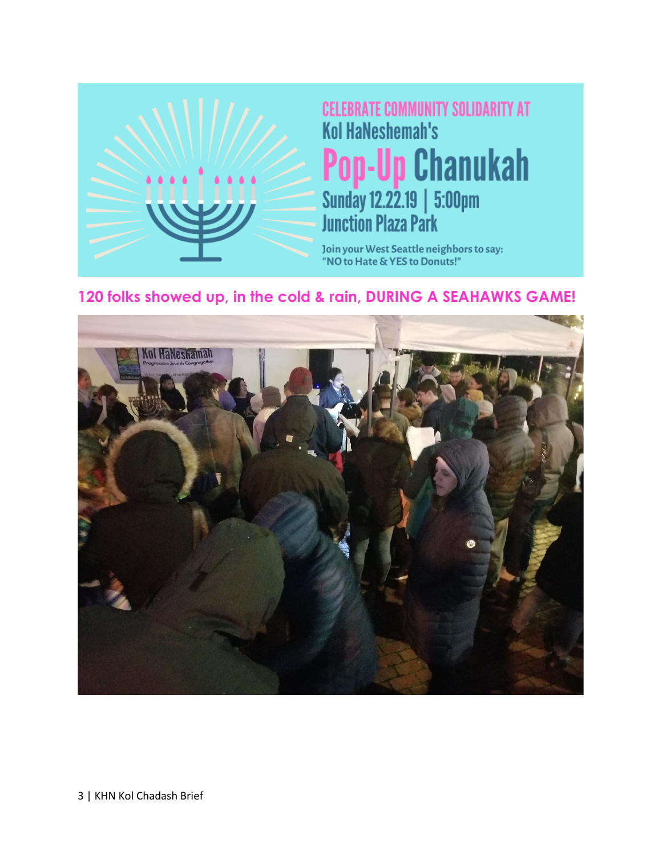

**CELEBRATE COMMUNITY SOLIDARITY AT Kol HaNeshemah's Pop-Up Chanukah**<br>Sunday 12.22.19 | 5:00pm<br>Junction Plaza Park

Join your West Seattle neighbors to say: "NO to Hate & YES to Donuts!"

## **120 folks showed up, in the cold & rain, DURING A SEAHAWKS GAME!**



3 | KHN Kol Chadash Brief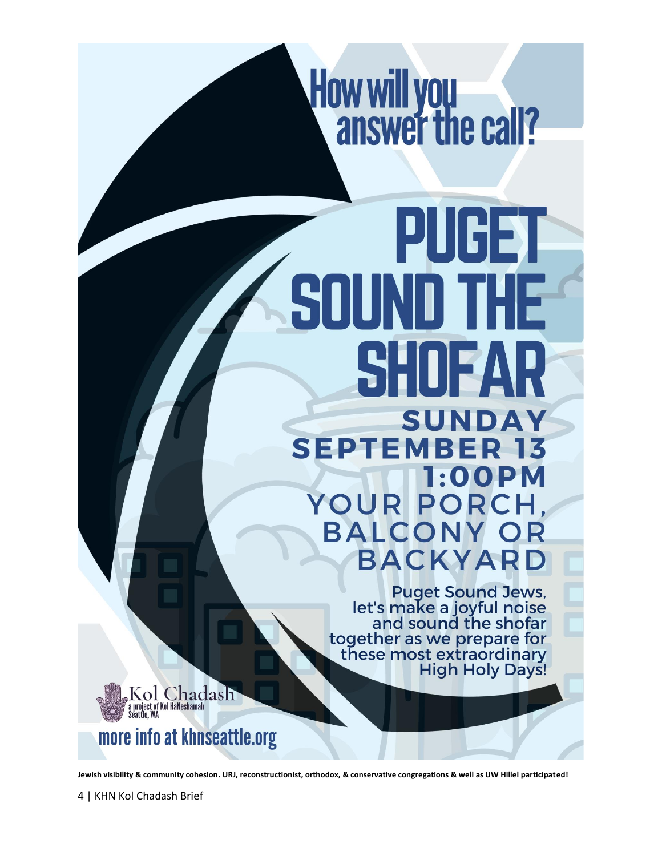

# PUGET SO SUNI DA **SEPTE** YO UR PO **BALC** BACKYA

Puget Sound Jews,<br>let's make a joyful noise<br>and sound the shofar together as we prepare for<br>these most extraordinary **High Holy Days!** 



# more info at khnseattle.org

**Jewish visibility & community cohesion. URJ, reconstructionist, orthodox, & conservative congregations & well as UW Hillel participated!**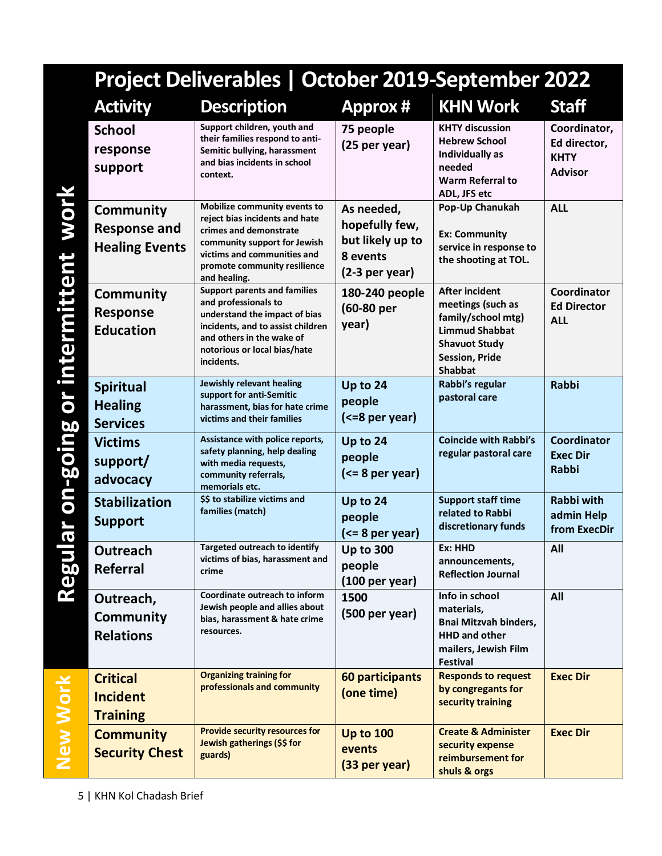| Project Deliverables   October 2019-September 2022               |                                                                                                                                                                                                              |                                                                                  |                                                                                                                                                              |                                                               |  |
|------------------------------------------------------------------|--------------------------------------------------------------------------------------------------------------------------------------------------------------------------------------------------------------|----------------------------------------------------------------------------------|--------------------------------------------------------------------------------------------------------------------------------------------------------------|---------------------------------------------------------------|--|
| <b>Activity</b>                                                  | <b>Description</b>                                                                                                                                                                                           | <b>Approx#</b>                                                                   | <b>KHN Work</b>                                                                                                                                              | <b>Staff</b>                                                  |  |
| <b>School</b><br>response<br>support                             | Support children, youth and<br>their families respond to anti-<br>Semitic bullying, harassment<br>and bias incidents in school<br>context.                                                                   | 75 people<br>(25 per year)                                                       | <b>KHTY discussion</b><br><b>Hebrew School</b><br>Individually as<br>needed<br><b>Warm Referral to</b><br>ADL, JFS etc                                       | Coordinator,<br>Ed director,<br><b>KHTY</b><br><b>Advisor</b> |  |
| <b>Community</b><br><b>Response and</b><br><b>Healing Events</b> | Mobilize community events to<br>reject bias incidents and hate<br>crimes and demonstrate<br>community support for Jewish<br>victims and communities and<br>promote community resilience<br>and healing.      | As needed,<br>hopefully few,<br>but likely up to<br>8 events<br>$(2-3$ per year) | Pop-Up Chanukah<br><b>Ex: Community</b><br>service in response to<br>the shooting at TOL.                                                                    | <b>ALL</b>                                                    |  |
| <b>Community</b><br><b>Response</b><br><b>Education</b>          | <b>Support parents and families</b><br>and professionals to<br>understand the impact of bias<br>incidents, and to assist children<br>and others in the wake of<br>notorious or local bias/hate<br>incidents. | 180-240 people<br>(60-80 per<br>year)                                            | <b>After incident</b><br>meetings (such as<br>family/school mtg)<br><b>Limmud Shabbat</b><br><b>Shavuot Study</b><br><b>Session, Pride</b><br><b>Shabbat</b> | Coordinator<br><b>Ed Director</b><br><b>ALL</b>               |  |
| <b>Spiritual</b><br><b>Healing</b><br><b>Services</b>            | Jewishly relevant healing<br>support for anti-Semitic<br>harassment, bias for hate crime<br>victims and their families                                                                                       | Up to 24<br>people<br>(<=8 per year)                                             | Rabbi's regular<br>pastoral care                                                                                                                             | <b>Rabbi</b>                                                  |  |
| <b>Victims</b><br>support/<br>advocacy                           | Assistance with police reports,<br>safety planning, help dealing<br>with media requests,<br>community referrals,<br>memorials etc.                                                                           | Up to 24<br>people<br>$(<= 8$ per year)                                          | <b>Coincide with Rabbi's</b><br>regular pastoral care                                                                                                        | <b>Coordinator</b><br><b>Exec Dir</b><br><b>Rabbi</b>         |  |
| <b>Stabilization</b><br><b>Support</b>                           | \$\$ to stabilize victims and<br>families (match)                                                                                                                                                            | Up to 24<br>people<br>(<= 8 per year)                                            | <b>Support staff time</b><br>related to Rabbi<br>discretionary funds                                                                                         | <b>Rabbi with</b><br>admin Help<br>from ExecDir               |  |
| Outreach<br>Referral                                             | <b>Targeted outreach to identify</b><br>victims of bias, harassment and<br>crime                                                                                                                             | <b>Up to 300</b><br>people<br>$(100 \text{ per year})$                           | Ex: HHD<br>announcements,<br><b>Reflection Journal</b>                                                                                                       | All                                                           |  |
| Outreach,<br><b>Community</b><br><b>Relations</b>                | Coordinate outreach to inform<br>Jewish people and allies about<br>bias, harassment & hate crime<br>resources.                                                                                               | 1500<br>(500 per year)                                                           | Info in school<br>materials,<br><b>Bnai Mitzvah binders,</b><br><b>HHD and other</b><br>mailers, Jewish Film<br><b>Festival</b>                              | All                                                           |  |
| <b>Critical</b><br><b>Incident</b><br><b>Training</b>            | <b>Organizing training for</b><br>professionals and community                                                                                                                                                | 60 participants<br>(one time)                                                    | <b>Responds to request</b><br>by congregants for<br>security training                                                                                        | <b>Exec Dir</b>                                               |  |
| <b>Community</b><br><b>Security Chest</b>                        | <b>Provide security resources for</b><br>Jewish gatherings (\$\$ for<br>guards)                                                                                                                              | <b>Up to 100</b><br>events<br>(33 per year)                                      | <b>Create &amp; Administer</b><br>security expense<br>reimbursement for<br>shuls & orgs                                                                      | <b>Exec Dir</b>                                               |  |